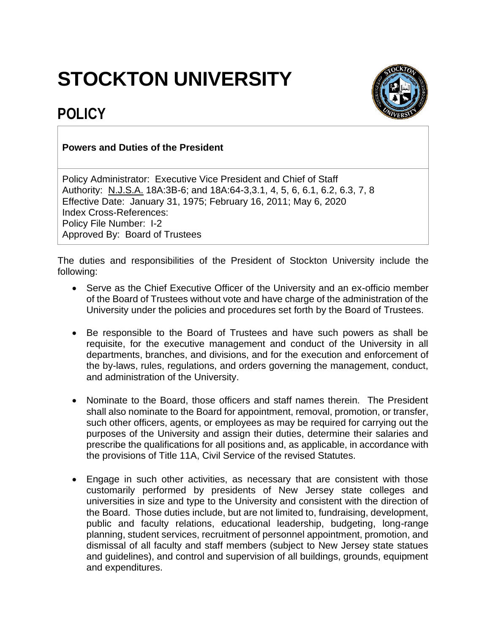## **STOCKTON UNIVERSITY**





## **Powers and Duties of the President**

Policy Administrator: Executive Vice President and Chief of Staff Authority: N.J.S.A. 18A:3B-6; and 18A:64-3,3.1, 4, 5, 6, 6.1, 6.2, 6.3, 7, 8 Effective Date: January 31, 1975; February 16, 2011; May 6, 2020 Index Cross-References: Policy File Number: I-2 Approved By: Board of Trustees

The duties and responsibilities of the President of Stockton University include the following:

- Serve as the Chief Executive Officer of the University and an ex-officio member of the Board of Trustees without vote and have charge of the administration of the University under the policies and procedures set forth by the Board of Trustees.
- Be responsible to the Board of Trustees and have such powers as shall be requisite, for the executive management and conduct of the University in all departments, branches, and divisions, and for the execution and enforcement of the by-laws, rules, regulations, and orders governing the management, conduct, and administration of the University.
- Nominate to the Board, those officers and staff names therein. The President shall also nominate to the Board for appointment, removal, promotion, or transfer, such other officers, agents, or employees as may be required for carrying out the purposes of the University and assign their duties, determine their salaries and prescribe the qualifications for all positions and, as applicable, in accordance with the provisions of Title 11A, Civil Service of the revised Statutes.
- Engage in such other activities, as necessary that are consistent with those customarily performed by presidents of New Jersey state colleges and universities in size and type to the University and consistent with the direction of the Board. Those duties include, but are not limited to, fundraising, development, public and faculty relations, educational leadership, budgeting, long-range planning, student services, recruitment of personnel appointment, promotion, and dismissal of all faculty and staff members (subject to New Jersey state statues and guidelines), and control and supervision of all buildings, grounds, equipment and expenditures.